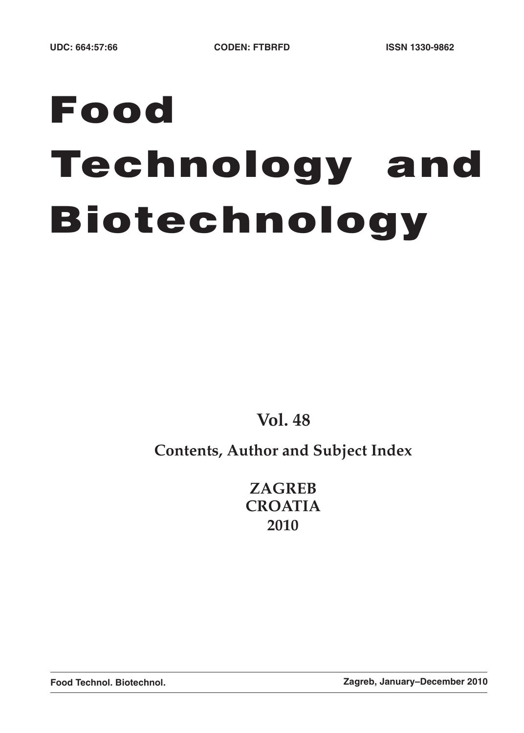# **Food Technology and Biotechnology**

**Vol. 48**

# **Contents, Author and Subject Index**

**ZAGREB CROATIA 2010**

**Food Technol. Biotechnol. Zagreb, January–December 2010**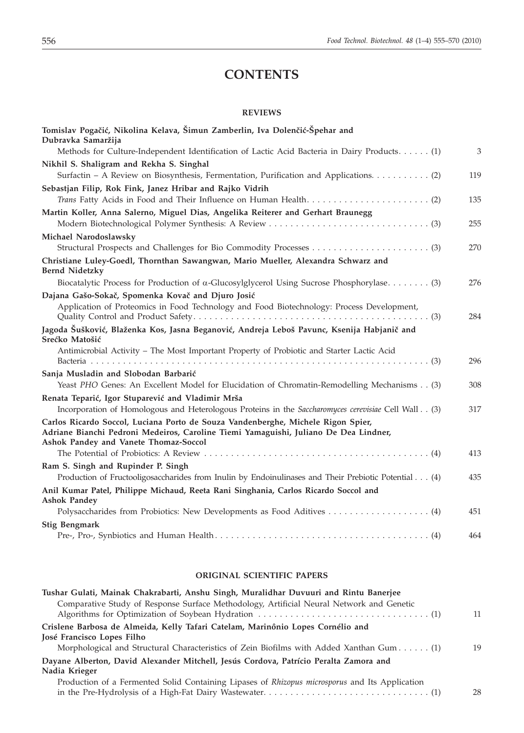# **CONTENTS**

#### **REVIEWS**

| Tomislav Pogačić, Nikolina Kelava, Šimun Zamberlin, Iva Dolenčić-Špehar and<br>Dubravka Samaržija                                                                                                                 |     |
|-------------------------------------------------------------------------------------------------------------------------------------------------------------------------------------------------------------------|-----|
| Methods for Culture-Independent Identification of Lactic Acid Bacteria in Dairy Products. (1)                                                                                                                     | 3   |
| Nikhil S. Shaligram and Rekha S. Singhal                                                                                                                                                                          |     |
| Surfactin - A Review on Biosynthesis, Fermentation, Purification and Applications. (2)                                                                                                                            | 119 |
| Sebastjan Filip, Rok Fink, Janez Hribar and Rajko Vidrih                                                                                                                                                          |     |
|                                                                                                                                                                                                                   | 135 |
| Martin Koller, Anna Salerno, Miguel Dias, Angelika Reiterer and Gerhart Braunegg                                                                                                                                  | 255 |
| Michael Narodoslawsky                                                                                                                                                                                             |     |
|                                                                                                                                                                                                                   | 270 |
| Christiane Luley-Goedl, Thornthan Sawangwan, Mario Mueller, Alexandra Schwarz and<br><b>Bernd Nidetzky</b>                                                                                                        |     |
| Biocatalytic Process for Production of $\alpha$ -Glucosylglycerol Using Sucrose Phosphorylase (3)                                                                                                                 | 276 |
| Dajana Gašo-Sokač, Spomenka Kovač and Djuro Josić                                                                                                                                                                 |     |
| Application of Proteomics in Food Technology and Food Biotechnology: Process Development,                                                                                                                         | 284 |
| Jagoda Šušković, Blaženka Kos, Jasna Beganović, Andreja Leboš Pavunc, Ksenija Habjanič and<br>Srećko Matošić                                                                                                      |     |
| Antimicrobial Activity - The Most Important Property of Probiotic and Starter Lactic Acid                                                                                                                         | 296 |
| Sanja Musladin and Slobodan Barbarić                                                                                                                                                                              |     |
| Yeast PHO Genes: An Excellent Model for Elucidation of Chromatin-Remodelling Mechanisms (3)                                                                                                                       | 308 |
| Renata Teparić, Igor Stuparević and Vladimir Mrša                                                                                                                                                                 |     |
| Incorporation of Homologous and Heterologous Proteins in the Saccharomyces cerevisiae Cell Wall (3)                                                                                                               | 317 |
| Carlos Ricardo Soccol, Luciana Porto de Souza Vandenberghe, Michele Rigon Spier,<br>Adriane Bianchi Pedroni Medeiros, Caroline Tiemi Yamaguishi, Juliano De Dea Lindner,<br>Ashok Pandey and Vanete Thomaz-Soccol |     |
|                                                                                                                                                                                                                   | 413 |
| Ram S. Singh and Rupinder P. Singh                                                                                                                                                                                |     |
| Production of Fructooligosaccharides from Inulin by Endoinulinases and Their Prebiotic Potential (4)                                                                                                              | 435 |
| Anil Kumar Patel, Philippe Michaud, Reeta Rani Singhania, Carlos Ricardo Soccol and<br><b>Ashok Pandey</b>                                                                                                        |     |
|                                                                                                                                                                                                                   | 451 |
| <b>Stig Bengmark</b>                                                                                                                                                                                              |     |
|                                                                                                                                                                                                                   | 464 |

## **ORIGINAL SCIENTIFIC PAPERS**

| Tushar Gulati, Mainak Chakrabarti, Anshu Singh, Muralidhar Duvuuri and Rintu Banerjee                         |    |
|---------------------------------------------------------------------------------------------------------------|----|
| Comparative Study of Response Surface Methodology, Artificial Neural Network and Genetic                      | 11 |
| Crislene Barbosa de Almeida, Kelly Tafari Catelam, Marinônio Lopes Cornélio and<br>José Francisco Lopes Filho |    |
| Morphological and Structural Characteristics of Zein Biofilms with Added Xanthan Gum (1)                      | 19 |
| Dayane Alberton, David Alexander Mitchell, Jesús Cordova, Patrício Peralta Zamora and                         |    |
| Nadia Krieger                                                                                                 |    |
| Production of a Fermented Solid Containing Lipases of Rhizopus microsporus and Its Application                | 28 |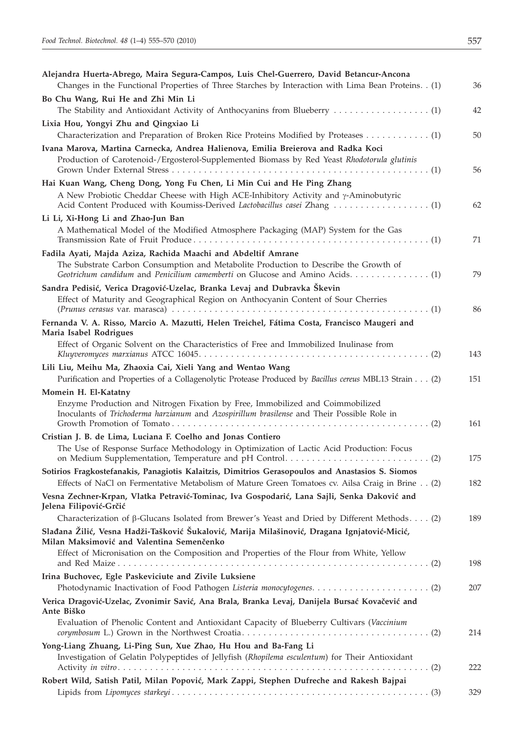| Alejandra Huerta-Abrego, Maira Segura-Campos, Luis Chel-Guerrero, David Betancur-Ancona<br>Changes in the Functional Properties of Three Starches by Interaction with Lima Bean Proteins. . (1)                                                   | 36  |
|---------------------------------------------------------------------------------------------------------------------------------------------------------------------------------------------------------------------------------------------------|-----|
| Bo Chu Wang, Rui He and Zhi Min Li                                                                                                                                                                                                                | 42  |
| Lixia Hou, Yongyi Zhu and Qingxiao Li                                                                                                                                                                                                             | 50  |
| Ivana Marova, Martina Carnecka, Andrea Halienova, Emilia Breierova and Radka Koci<br>Production of Carotenoid-/Ergosterol-Supplemented Biomass by Red Yeast Rhodotorula glutinis                                                                  |     |
|                                                                                                                                                                                                                                                   | 56  |
| Hai Kuan Wang, Cheng Dong, Yong Fu Chen, Li Min Cui and He Ping Zhang<br>A New Probiotic Cheddar Cheese with High ACE-Inhibitory Activity and $\gamma$ -Aminobutyric<br>Acid Content Produced with Koumiss-Derived Lactobacillus casei Zhang  (1) | 62  |
| Li Li, Xi-Hong Li and Zhao-Jun Ban<br>A Mathematical Model of the Modified Atmosphere Packaging (MAP) System for the Gas                                                                                                                          | 71  |
| Fadila Ayati, Majda Aziza, Rachida Maachi and Abdeltif Amrane<br>The Substrate Carbon Consumption and Metabolite Production to Describe the Growth of<br>Geotrichum candidum and Penicilium camemberti on Glucose and Amino Acids (1)             | 79  |
| Sandra Pedisić, Verica Dragović-Uzelac, Branka Levaj and Dubravka Škevin<br>Effect of Maturity and Geographical Region on Anthocyanin Content of Sour Cherries                                                                                    | 86  |
| Fernanda V. A. Risso, Marcio A. Mazutti, Helen Treichel, Fátima Costa, Francisco Maugeri and<br>Maria Isabel Rodrigues                                                                                                                            |     |
| Effect of Organic Solvent on the Characteristics of Free and Immobilized Inulinase from                                                                                                                                                           | 143 |
| Lili Liu, Meihu Ma, Zhaoxia Cai, Xieli Yang and Wentao Wang<br>Purification and Properties of a Collagenolytic Protease Produced by Bacillus cereus MBL13 Strain (2)                                                                              | 151 |
| Momein H. El-Katatny<br>Enzyme Production and Nitrogen Fixation by Free, Immobilized and Coimmobilized<br>Inoculants of Trichoderma harzianum and Azospirillum brasilense and Their Possible Role in                                              | 161 |
| Cristian J. B. de Lima, Luciana F. Coelho and Jonas Contiero<br>The Use of Response Surface Methodology in Optimization of Lactic Acid Production: Focus                                                                                          | 175 |
| Sotirios Fragkostefanakis, Panagiotis Kalaitzis, Dimitrios Gerasopoulos and Anastasios S. Siomos<br>Effects of NaCl on Fermentative Metabolism of Mature Green Tomatoes cv. Ailsa Craig in Brine (2)                                              | 182 |
| Vesna Zechner-Krpan, Vlatka Petravić-Tominac, Iva Gospodarić, Lana Sajli, Senka Đaković and<br>Jelena Filipović-Grčić                                                                                                                             |     |
| Characterization of β-Glucans Isolated from Brewer's Yeast and Dried by Different Methods. (2)                                                                                                                                                    | 189 |
| Slađana Žilić, Vesna Hadži-Tašković Šukalović, Marija Milašinović, Dragana Ignjatović-Micić,<br>Milan Maksimović and Valentina Semenčenko                                                                                                         |     |
| Effect of Micronisation on the Composition and Properties of the Flour from White, Yellow                                                                                                                                                         | 198 |
| Irina Buchovec, Egle Paskeviciute and Zivile Luksiene                                                                                                                                                                                             | 207 |
| Verica Dragović-Uzelac, Zvonimir Savić, Ana Brala, Branka Levaj, Danijela Bursać Kovačević and<br>Ante Biško                                                                                                                                      |     |
| Evaluation of Phenolic Content and Antioxidant Capacity of Blueberry Cultivars (Vaccinium                                                                                                                                                         | 214 |
| Yong-Liang Zhuang, Li-Ping Sun, Xue Zhao, Hu Hou and Ba-Fang Li<br>Investigation of Gelatin Polypeptides of Jellyfish (Rhopilema esculentum) for Their Antioxidant                                                                                | 222 |
| Robert Wild, Satish Patil, Milan Popović, Mark Zappi, Stephen Dufreche and Rakesh Bajpai                                                                                                                                                          |     |
|                                                                                                                                                                                                                                                   | 329 |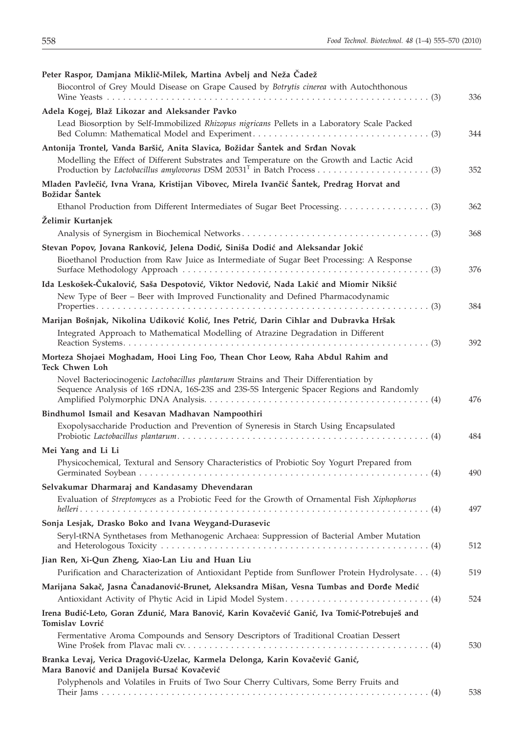| Peter Raspor, Damjana Miklič-Milek, Martina Avbelj and Neža Čadež                                                                                                                |     |
|----------------------------------------------------------------------------------------------------------------------------------------------------------------------------------|-----|
| Biocontrol of Grey Mould Disease on Grape Caused by Botrytis cinerea with Autochthonous                                                                                          | 336 |
| Adela Kogej, Blaž Likozar and Aleksander Pavko                                                                                                                                   |     |
| Lead Biosorption by Self-Immobilized Rhizopus nigricans Pellets in a Laboratory Scale Packed                                                                                     | 344 |
| Antonija Trontel, Vanda Baršić, Anita Slavica, Božidar Šantek and Srđan Novak                                                                                                    |     |
| Modelling the Effect of Different Substrates and Temperature on the Growth and Lactic Acid                                                                                       | 352 |
| Mladen Pavlečić, Ivna Vrana, Kristijan Vibovec, Mirela Ivančić Šantek, Predrag Horvat and<br>Božidar Šantek                                                                      |     |
|                                                                                                                                                                                  | 362 |
| Želimir Kurtanjek                                                                                                                                                                |     |
|                                                                                                                                                                                  | 368 |
| Stevan Popov, Jovana Ranković, Jelena Dodić, Siniša Dodić and Aleksandar Jokić                                                                                                   |     |
| Bioethanol Production from Raw Juice as Intermediate of Sugar Beet Processing: A Response                                                                                        |     |
|                                                                                                                                                                                  | 376 |
| Ida Leskošek-Čukalović, Saša Despotović, Viktor Nedović, Nada Lakić and Miomir Nikšić<br>New Type of Beer - Beer with Improved Functionality and Defined Pharmacodynamic         |     |
|                                                                                                                                                                                  | 384 |
| Marijan Bošnjak, Nikolina Udiković Kolić, Ines Petrić, Darin Cihlar and Dubravka Hršak                                                                                           |     |
| Integrated Approach to Mathematical Modelling of Atrazine Degradation in Different                                                                                               |     |
|                                                                                                                                                                                  | 392 |
| Morteza Shojaei Moghadam, Hooi Ling Foo, Thean Chor Leow, Raha Abdul Rahim and<br><b>Teck Chwen Loh</b>                                                                          |     |
| Novel Bacteriocinogenic Lactobacillus plantarum Strains and Their Differentiation by<br>Sequence Analysis of 16S rDNA, 16S-23S and 23S-5S Intergenic Spacer Regions and Randomly | 476 |
| Bindhumol Ismail and Kesavan Madhavan Nampoothiri                                                                                                                                |     |
| Exopolysaccharide Production and Prevention of Syneresis in Starch Using Encapsulated                                                                                            | 484 |
| Mei Yang and Li Li                                                                                                                                                               |     |
| Physicochemical, Textural and Sensory Characteristics of Probiotic Soy Yogurt Prepared from                                                                                      | 490 |
| Selvakumar Dharmaraj and Kandasamy Dhevendaran                                                                                                                                   |     |
| Evaluation of Streptomyces as a Probiotic Feed for the Growth of Ornamental Fish Xiphophorus                                                                                     |     |
|                                                                                                                                                                                  | 497 |
| Sonja Lesjak, Drasko Boko and Ivana Weygand-Durasevic                                                                                                                            |     |
| Seryl-tRNA Synthetases from Methanogenic Archaea: Suppression of Bacterial Amber Mutation                                                                                        | 512 |
| Jian Ren, Xi-Qun Zheng, Xiao-Lan Liu and Huan Liu                                                                                                                                |     |
| Purification and Characterization of Antioxidant Peptide from Sunflower Protein Hydrolysate. (4)                                                                                 | 519 |
| Marijana Sakač, Jasna Čanadanović-Brunet, Aleksandra Mišan, Vesna Tumbas and Đorđe Medić                                                                                         |     |
|                                                                                                                                                                                  | 524 |
| Irena Budić-Leto, Goran Zdunić, Mara Banović, Karin Kovačević Ganić, Iva Tomić-Potrebuješ and<br>Tomislav Lovrić                                                                 |     |
| Fermentative Aroma Compounds and Sensory Descriptors of Traditional Croatian Dessert                                                                                             | 530 |
| Branka Levaj, Verica Dragović-Uzelac, Karmela Delonga, Karin Kovačević Ganić,<br>Mara Banović and Danijela Bursać Kovačević                                                      |     |
| Polyphenols and Volatiles in Fruits of Two Sour Cherry Cultivars, Some Berry Fruits and                                                                                          |     |
|                                                                                                                                                                                  | 538 |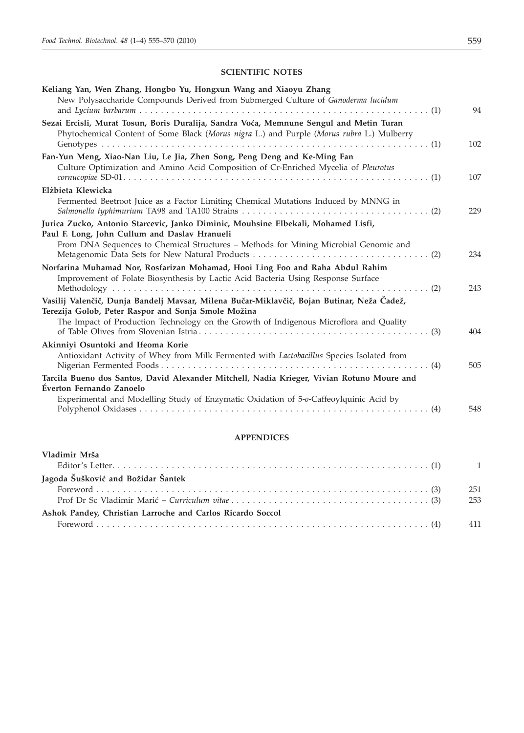# **SCIENTIFIC NOTES**

| Keliang Yan, Wen Zhang, Hongbo Yu, Hongxun Wang and Xiaoyu Zhang<br>New Polysaccharide Compounds Derived from Submerged Culture of Ganoderma lucidum                                                                                        | 94  |
|---------------------------------------------------------------------------------------------------------------------------------------------------------------------------------------------------------------------------------------------|-----|
| Sezai Ercisli, Murat Tosun, Boris Duralija, Sandra Voća, Memnune Sengul and Metin Turan<br>Phytochemical Content of Some Black (Morus nigra L.) and Purple (Morus rubra L.) Mulberry                                                        | 102 |
| Fan-Yun Meng, Xiao-Nan Liu, Le Jia, Zhen Song, Peng Deng and Ke-Ming Fan<br>Culture Optimization and Amino Acid Composition of Cr-Enriched Mycelia of Pleurotus                                                                             | 107 |
| Elżbieta Klewicka<br>Fermented Beetroot Juice as a Factor Limiting Chemical Mutations Induced by MNNG in                                                                                                                                    | 229 |
| Jurica Zucko, Antonio Starcevic, Janko Diminic, Mouhsine Elbekali, Mohamed Lisfi,<br>Paul F. Long, John Cullum and Daslav Hranueli<br>From DNA Sequences to Chemical Structures - Methods for Mining Microbial Genomic and                  | 234 |
| Norfarina Muhamad Nor, Rosfarizan Mohamad, Hooi Ling Foo and Raha Abdul Rahim<br>Improvement of Folate Biosynthesis by Lactic Acid Bacteria Using Response Surface                                                                          | 243 |
| Vasilij Valenčič, Dunja Bandelj Mavsar, Milena Bučar-Miklavčič, Bojan Butinar, Neža Čadež,<br>Terezija Golob, Peter Raspor and Sonja Smole Možina<br>The Impact of Production Technology on the Growth of Indigenous Microflora and Quality | 404 |
| Akinniyi Osuntoki and Ifeoma Korie<br>Antioxidant Activity of Whey from Milk Fermented with Lactobacillus Species Isolated from                                                                                                             | 505 |
| Tarcila Bueno dos Santos, David Alexander Mitchell, Nadia Krieger, Vivian Rotuno Moure and<br>Éverton Fernando Zanoelo<br>Experimental and Modelling Study of Enzymatic Oxidation of 5-o-Caffeoylquinic Acid by                             | 548 |

#### **APPENDICES**

| Vladimir Mrša                                              | $\overline{1}$ |
|------------------------------------------------------------|----------------|
| Jagoda Šušković and Božidar Šantek                         |                |
|                                                            | 251            |
|                                                            | 253            |
| Ashok Pandey, Christian Larroche and Carlos Ricardo Soccol |                |
|                                                            | 411            |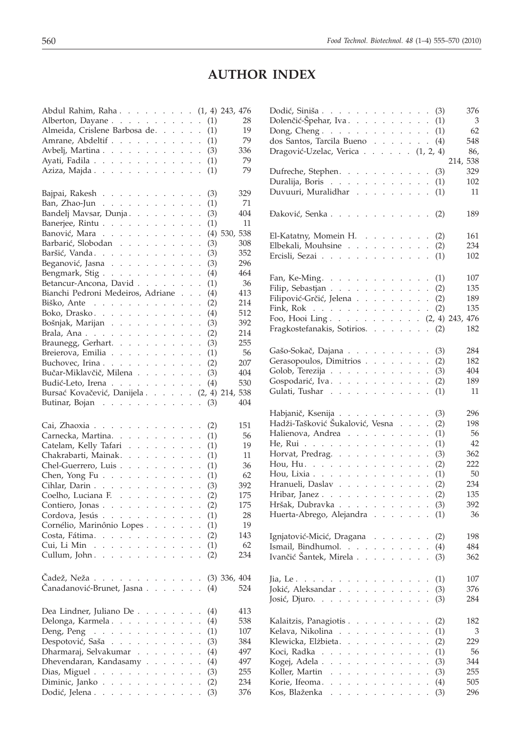# **AUTHOR INDEX**

| Abdul Rahim, Raha (1, 4) 243, 476                                                                                                                                                              |                |
|------------------------------------------------------------------------------------------------------------------------------------------------------------------------------------------------|----------------|
| Alberton, Dayane<br>(1)                                                                                                                                                                        | 28             |
| Almeida, Crislene Barbosa de.<br>(1)                                                                                                                                                           | 19             |
| Amrane, Abdeltif<br>(1)                                                                                                                                                                        | 79             |
| Avbelj, Martina<br>(3)                                                                                                                                                                         | 336            |
| Ayati, Fadila<br>(1)                                                                                                                                                                           | 79             |
| Aziza, Majda<br>(1)                                                                                                                                                                            | 79             |
|                                                                                                                                                                                                |                |
|                                                                                                                                                                                                |                |
| Bajpai, Rakesh<br>(3)                                                                                                                                                                          | 329            |
| (1)<br>Ban, Zhao-Jun $\ldots$ $\ldots$ $\ldots$ $\ldots$                                                                                                                                       | 71             |
| Bandelj Mavsar, Dunja.<br>(3)                                                                                                                                                                  | 404            |
| Banerjee, Rintu<br>(1)                                                                                                                                                                         | 11             |
| Banović, Mara<br>$(4)$ 530,                                                                                                                                                                    | 538            |
| Barbarić, Slobodan<br>(3)                                                                                                                                                                      | 308            |
| Baršić, Vanda.<br>(3)                                                                                                                                                                          | 352            |
| Beganović, Jasna<br>(3)                                                                                                                                                                        | 296            |
| Bengmark, Stig.<br>(4)                                                                                                                                                                         | 464            |
| Betancur-Ancona, David<br>(1)                                                                                                                                                                  | 36             |
| Bianchi Pedroni Medeiros, Adriane<br>(4)                                                                                                                                                       | 413            |
| (2)<br>Biško, Ante $\ldots$                                                                                                                                                                    | 214            |
| Boko, Drasko.<br>(4)                                                                                                                                                                           | 512            |
| Bošnjak, Marijan<br>(3)                                                                                                                                                                        | 392            |
| (2)<br>Brala, Ana.                                                                                                                                                                             | 214            |
|                                                                                                                                                                                                |                |
| Braunegg, Gerhart.<br>(3)                                                                                                                                                                      | 255            |
| Breierova, Emilia<br>(1)                                                                                                                                                                       | 56             |
| (2)<br>Buchovec, Irina<br>$\ddot{\phantom{0}}$                                                                                                                                                 | 207            |
| Bučar-Miklavčič, Milena<br>(3)                                                                                                                                                                 | 404            |
| Budić-Leto, Irena<br>(4)                                                                                                                                                                       | 530            |
| Bursać Kovačević, Danijela (2, 4) 214, 538                                                                                                                                                     |                |
| Butinar, Bojan<br>(3)                                                                                                                                                                          | 404            |
|                                                                                                                                                                                                |                |
|                                                                                                                                                                                                |                |
|                                                                                                                                                                                                | 151            |
| Cai, Zhaoxia<br>(2)                                                                                                                                                                            |                |
| Carnecka, Martina.<br>(1)                                                                                                                                                                      | 56             |
| Catelam, Kelly Tafari<br>(1)                                                                                                                                                                   | 19             |
| Chakrabarti, Mainak.<br>(1)                                                                                                                                                                    | 11             |
| Chel-Guerrero, Luis<br>(1)<br>$\mathcal{L}^{\mathcal{L}}$<br>$\mathbf{1}$ and $\mathbf{1}$ and $\mathbf{1}$                                                                                    | 36             |
| Chen, Yong Fu $\ldots$ $\ldots$ $\ldots$ $\ldots$ $\ldots$<br>(1)                                                                                                                              | 62             |
| Cihlar, Darin<br>(3)                                                                                                                                                                           | 392            |
| Coelho, Luciana F.<br>(2)                                                                                                                                                                      | 175            |
| Contiero, Jonas<br>(2)                                                                                                                                                                         | 175            |
| (1)<br>$\ddot{\phantom{a}}$<br>$\ddot{\phantom{0}}$<br>$\ddot{\phantom{0}}$<br>$\ddot{\phantom{0}}$                                                                                            | 28             |
| Cordova, Jesús<br>Cornélio, Marinônio Lopes (1)                                                                                                                                                | 19             |
| Costa, Fátima.<br>(2)<br>$\mathbf{L}$<br>$\ddot{\phantom{a}}$<br>$\sim 10^{-1}$<br>$\ddot{\phantom{0}}$<br>$\ddot{\phantom{0}}$                                                                | 143            |
| Cui, Li Min<br>(1)<br>and the company of the company<br>$\mathbb{Z}^{\mathbb{Z}}$                                                                                                              | 62             |
| Cullum, John.<br>(2)<br>$\sim 100$ km s $^{-1}$<br>$\mathcal{L}^{\pm}$                                                                                                                         | 234            |
|                                                                                                                                                                                                |                |
|                                                                                                                                                                                                |                |
| Čadež, Neža                                                                                                                                                                                    | $(3)$ 336, 404 |
| Čanadanović-Brunet, Jasna<br>(4)                                                                                                                                                               | 524            |
|                                                                                                                                                                                                |                |
| Dea Lindner, Juliano De<br>(4)<br>$\sim$ $\sim$<br>$\sim 10^{-1}$ and $\sim 10^{-1}$                                                                                                           | 413            |
| Delonga, Karmela<br>(4)<br>$\ddot{\phantom{0}}$<br>$\mathcal{L}^{\mathcal{L}}$<br>$\mathbb{Z}^{\mathbb{Z}^2}$<br>$\ddot{\phantom{0}}$                                                          | 538            |
| Deng, Peng $\ldots$<br>(1)<br>V.<br>$\ddot{\phantom{0}}$<br>$\ddot{\phantom{a}}$<br>$\ddot{\phantom{0}}$<br>$\ddot{\phantom{0}}$<br>$\ddot{\phantom{0}}$<br>$\ddot{\phantom{0}}$               | 107            |
| Despotović, Saša<br>(3)<br>$\ddot{\phantom{a}}$<br>$\mathbf{r}$<br>$\ddot{\phantom{a}}$<br>$\sim 10^{-1}$<br>$\ddot{\phantom{0}}$<br>$\ddot{\phantom{0}}$                                      | 384            |
| Dharmaraj, Selvakumar.<br>(4)<br>$\ddot{\phantom{a}}$<br>$\ddot{\phantom{a}}$<br>$\ddot{\phantom{0}}$<br>$\ddot{\phantom{a}}$<br>$\sim$ $\sim$<br>$\ddot{\phantom{a}}$<br>$\ddot{\phantom{a}}$ | 497            |
| $\sim 10$ $\sim$<br>$\ddot{\phantom{a}}$<br>$\ddot{\phantom{0}}$<br>$\ddot{\phantom{0}}$<br>$\bar{z}$                                                                                          | 497            |
| Dhevendaran, Kandasamy.<br>(4)                                                                                                                                                                 |                |
| Dias, Miguel<br>(3)<br><b>Carl America</b>                                                                                                                                                     | 255            |
| Diminic, Janko<br>(2)<br>$\ddot{\phantom{0}}$<br>Dodić, Jelena<br>(3)                                                                                                                          | 234<br>376     |

| Dodić, Siniša (3)                                                                                                                                                      |                                                                                                                      | 376        |
|------------------------------------------------------------------------------------------------------------------------------------------------------------------------|----------------------------------------------------------------------------------------------------------------------|------------|
| Dolenčić-Špehar, Iva. (1)                                                                                                                                              |                                                                                                                      | 3          |
| Dong, Cheng. $\ldots$ $\ldots$ $\ldots$ $\ldots$ $\ldots$                                                                                                              | (1)                                                                                                                  | 62         |
| dos Santos, Tarcila Bueno                                                                                                                                              | (4)                                                                                                                  | 548        |
| Dragović-Uzelac, Verica (1, 2, 4)                                                                                                                                      |                                                                                                                      | 86,        |
|                                                                                                                                                                        | 214, 538                                                                                                             |            |
| Dufreche, Stephen.                                                                                                                                                     | (3)                                                                                                                  | 329        |
| Duralija, Boris                                                                                                                                                        | (1)                                                                                                                  | 102        |
| Duvuuri, Muralidhar                                                                                                                                                    | (1)                                                                                                                  | 11         |
|                                                                                                                                                                        |                                                                                                                      |            |
| Daković, Senka                                                                                                                                                         | (2)                                                                                                                  | 189        |
| El-Katatny, Momein H.                                                                                                                                                  | (2)<br>$\ddot{\phantom{0}}$                                                                                          | 161        |
| Elbekali, Mouhsine                                                                                                                                                     | (2)                                                                                                                  | 234        |
| Ercisli, Sezai                                                                                                                                                         | (1)                                                                                                                  | 102        |
|                                                                                                                                                                        |                                                                                                                      |            |
| Fan, Ke-Ming. $\ldots$ $\ldots$ $\ldots$ $\ldots$                                                                                                                      | (1)                                                                                                                  | 107        |
| Filip, Sebastjan                                                                                                                                                       | (2)                                                                                                                  | 135        |
| Filipović-Grčić, Jelena                                                                                                                                                | (2)<br>$\ddot{\phantom{0}}$                                                                                          | 189        |
| Fink, Rok                                                                                                                                                              | (2)                                                                                                                  | 135        |
| Foo, Hooi Ling (2, 4) 243, 476                                                                                                                                         |                                                                                                                      |            |
| Fragkostefanakis, Sotirios.                                                                                                                                            |                                                                                                                      | 182        |
|                                                                                                                                                                        | $\mathbb{Z}^{\mathbb{Z}}$<br>(2)                                                                                     |            |
| Gašo-Sokač, Dajana                                                                                                                                                     | (3)                                                                                                                  | 284        |
| Gerasopoulos, Dimitrios                                                                                                                                                | (2)                                                                                                                  | 182        |
| Golob, Terezija                                                                                                                                                        | (3)                                                                                                                  | 404        |
| Gospodarić, Iva.                                                                                                                                                       | (2)                                                                                                                  | 189        |
| Gulati, Tushar                                                                                                                                                         | (1)                                                                                                                  | 11         |
|                                                                                                                                                                        |                                                                                                                      |            |
|                                                                                                                                                                        |                                                                                                                      |            |
|                                                                                                                                                                        |                                                                                                                      |            |
| Habjanič, Ksenija                                                                                                                                                      | (3)<br>$\ddot{\phantom{0}}$                                                                                          | 296        |
| Hadži-Tašković Šukalović, Vesna                                                                                                                                        | (2)<br>$\cdot$                                                                                                       | 198        |
| Halienova, Andrea                                                                                                                                                      | (1)<br>$\ddot{\phantom{0}}$                                                                                          | 56         |
| He, Rui<br>$\mathcal{L}^{\mathcal{A}}$ . The set of the set of the set of the set of the $\mathcal{L}^{\mathcal{A}}$                                                   | (1)                                                                                                                  | 42         |
| Horvat, Predrag.                                                                                                                                                       | (3)<br>and a state<br>$\ddot{\phantom{0}}$                                                                           | 362        |
| Hou, Hu. $\ldots$ $\ldots$ $\ldots$ $\ldots$ $\ldots$                                                                                                                  | (2)<br>$\ddot{\phantom{0}}$                                                                                          | 222        |
| Hou, Lixia $\ldots$ $\ldots$ $\ldots$                                                                                                                                  | (1)<br>$\mathcal{L}^{\pm}$ , $\mathcal{L}^{\pm}$ , $\mathcal{L}^{\pm}$ , $\mathcal{L}^{\pm}$<br>$\ddot{\phantom{0}}$ | 50         |
| Hranueli, Daslav                                                                                                                                                       | (2)<br>$\cdot$                                                                                                       | 234        |
| Hribar, Janez                                                                                                                                                          | (2)<br>$\cdot$                                                                                                       | 135        |
| Hršak, Dubravka                                                                                                                                                        | (3)                                                                                                                  | 392        |
| Huerta-Abrego, Alejandra                                                                                                                                               | (1)<br>$\ddot{\phantom{0}}$                                                                                          | 36         |
|                                                                                                                                                                        |                                                                                                                      |            |
| Ignjatović-Micić, Dragana                                                                                                                                              | (2)                                                                                                                  | 198        |
| Ismail, Bindhumol.                                                                                                                                                     | (4)                                                                                                                  | 484        |
| Ivančić Šantek, Mirela                                                                                                                                                 | (3)<br>$\ddot{\phantom{0}}$                                                                                          | 362        |
|                                                                                                                                                                        | $\mathcal{L}=\mathcal{L}=\mathcal{L}$                                                                                | 107        |
|                                                                                                                                                                        | (1)                                                                                                                  |            |
| Jia, Le. $\ldots$ $\ldots$ $\ldots$ $\ldots$<br>Jokić, Aleksandar                                                                                                      | (3)<br>$\mathbb{Z}^{\mathbb{Z}}$<br>$\mathcal{L}^{\pm}$<br>$\ddot{\phantom{a}}$                                      | 376        |
| Josić, Djuro. $\ldots$<br>$\ddot{\phantom{a}}$                                                                                                                         | (3)<br>$\ddot{\phantom{a}}$                                                                                          | 284        |
| Kalaitzis, Panagiotis<br>$\cdot$                                                                                                                                       | (2)<br>$\ddot{\phantom{0}}$                                                                                          | 182        |
| Kelava, Nikolina<br>$\ddot{\phantom{0}}$<br>$\mathbf{r}$<br>$\ddot{\phantom{0}}$                                                                                       | (1)<br>$\ddot{\phantom{a}}$                                                                                          | 3          |
| Klewicka, Elżbieta.<br>$\sim 100$ km s $^{-1}$<br>$\ddot{\phantom{a}}$<br>$\ddot{\phantom{a}}$                                                                         | $\ddot{\phantom{a}}$<br>$\ddot{\phantom{a}}$                                                                         | 229        |
| $\sim$ $\sim$<br>$\mathbf{L}$<br>$\ddot{\phantom{a}}$<br>$\ddot{\phantom{a}}$<br>$\ddot{\phantom{a}}$                                                                  | (2)<br>$\ddot{\phantom{a}}$<br>$\ddot{\phantom{a}}$                                                                  | 56         |
| Koci, Radka.                                                                                                                                                           | (1)<br>$\ddot{\phantom{0}}$                                                                                          | 344        |
| Kogej, Adela.<br>$\ddot{\phantom{0}}$<br>$\ddot{\phantom{0}}$<br>$\ddot{\phantom{0}}$<br>$\mathcal{L}=\mathcal{L}$<br>$\ddot{\phantom{0}}$                             | (3)<br>$\ddot{\phantom{0}}$<br>$\ddot{\phantom{0}}$                                                                  |            |
| Koller, Martin<br>$\ddot{\phantom{0}}$<br><b>Contract</b><br>$\ddot{\phantom{0}}$<br>$\ddot{\phantom{0}}$                                                              | (3)<br>$\ddot{\phantom{0}}$                                                                                          | 255        |
| Korie, Ifeoma.<br>$\mathbf{r}$<br>$\ddot{\phantom{a}}$<br>$\mathcal{L}^{\pm}$<br>$\ddot{\phantom{a}}$<br>$\ddot{\phantom{0}}$<br>$\ddot{\phantom{0}}$<br>Kos, Blaženka | (4)<br>(3)                                                                                                           | 505<br>296 |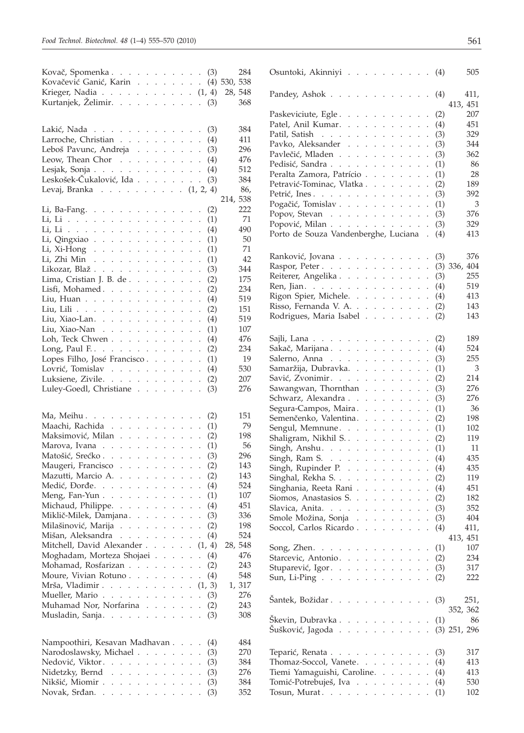| Kovač, Spomenka (3)                                                                                    |  |  |     |          | 284    | Osuntoki, Akinniyi (4)                                             |     | 505      |
|--------------------------------------------------------------------------------------------------------|--|--|-----|----------|--------|--------------------------------------------------------------------|-----|----------|
| Kovačević Ganić, Karin (4) 530, 538                                                                    |  |  |     |          |        |                                                                    |     |          |
| Krieger, Nadia $\ldots \ldots \ldots \ldots (1, 4)$                                                    |  |  |     | 28, 548  |        | Pandey, Ashok $\ldots$ $\ldots$ $\ldots$ $\ldots$ $\ldots$ (4)     |     | 411,     |
| Kurtanjek, Želimir. (3)                                                                                |  |  |     |          | 368    |                                                                    |     | 413, 451 |
|                                                                                                        |  |  |     |          |        | Paskeviciute, Egle                                                 | (2) | 207      |
|                                                                                                        |  |  |     |          |        | Patel, Anil Kumar. (4)                                             |     | 451      |
| Lakić, Nada                                                                                            |  |  | (3) |          | 384    | Patil, Satish (3)                                                  |     | 329      |
| Larroche, Christian $\cdots$ $\cdots$ $\cdots$ $\cdots$ $\cdots$ (4)                                   |  |  |     |          | 411    | Pavko, Aleksander (3)                                              |     | 344      |
| Leboš Pavunc, Andreja (3)                                                                              |  |  |     |          | 296    | Pavlečić, Mladen                                                   | (3) | 362      |
| Leow, Thean Chor $\cdots$ $\cdots$ $\cdots$ $\cdots$ $\cdots$ $(4)$                                    |  |  |     |          | 476    | Pedisić, Sandra (1)                                                |     | 86       |
| Lesjak, Sonja $\ldots$ $\ldots$ $\ldots$ $\ldots$ $\ldots$ $(4)$                                       |  |  |     |          | 512    | Peralta Zamora, Patrício (1)                                       |     | 28       |
| Leskošek-Čukalović, Ida (3)                                                                            |  |  |     |          | 384    | Petravić-Tominac, Vlatka (2)                                       |     | 189      |
| Levaj, Branka $(1, 2, 4)$                                                                              |  |  |     |          | 86,    |                                                                    |     | 392      |
|                                                                                                        |  |  |     | 214, 538 |        | Petrić, Ines. (3)                                                  |     |          |
| Li, Ba-Fang.                                                                                           |  |  | (2) |          | 222    | Pogačić, Tomislav (1)                                              |     | 3        |
| Li, Li (1)                                                                                             |  |  |     |          | 71     | Popov, Stevan (3)                                                  |     | 376      |
| Li, Li (4)                                                                                             |  |  |     |          | 490    | Popović, Milan (3)                                                 |     | 329      |
| Li, Qingxiao $\cdots$ $\cdots$ $\cdots$ $\cdots$ $\cdots$ $\cdots$ $\cdots$ $\cdots$ $\cdots$ $\cdots$ |  |  |     |          | 50     | Porto de Souza Vandenberghe, Luciana . (4)                         |     | 413      |
| Li, Xi-Hong (1)                                                                                        |  |  |     |          | 71     |                                                                    |     |          |
| Li, Zhi Min (1)                                                                                        |  |  |     |          | 42     | Ranković, Jovana                                                   | (3) | 376      |
| Likozar, Blaž.                                                                                         |  |  | (3) |          | 344    | Raspor, Peter (3) 336, 404                                         |     |          |
| Lima, Cristian J. B. de                                                                                |  |  |     |          | 175    | Reiterer, Angelika (3)                                             |     | 255      |
|                                                                                                        |  |  | (2) |          | 234    | Ren, Jian. (4)                                                     |     | 519      |
| Lisfi, Mohamed.                                                                                        |  |  | (2) |          |        | Rigon Spier, Michele. (4)                                          |     | 413      |
| Liu, Huan (4)                                                                                          |  |  |     |          | 519    | Risso, Fernanda V. A. (2)                                          |     | 143      |
| Liu, Lili                                                                                              |  |  | (2) |          | 151    | Rodrigues, Maria Isabel (2)                                        |     | 143      |
| Liu, Xiao-Lan. (4)                                                                                     |  |  |     |          | 519    |                                                                    |     |          |
| Liu, Xiao-Nan                                                                                          |  |  | (1) |          | 107    |                                                                    |     |          |
| Loh, Teck Chwen                                                                                        |  |  | (4) |          | 476    | Sajli, Lana $\ldots \ldots \ldots \ldots \ldots \ldots (2)$        |     | 189      |
| Long, Paul F (2)                                                                                       |  |  |     |          | 234    | Sakač, Marijana (4)                                                |     | 524      |
| Lopes Filho, José Francisco (1)                                                                        |  |  |     |          | 19     | Salerno, Anna $\ldots$ $\ldots$ $\ldots$ $\ldots$ $\ldots$ (3)     |     | 255      |
| Lovrić, Tomislav (4)                                                                                   |  |  |     |          | 530    | Samaržija, Dubravka. (1)                                           |     | 3        |
| Luksiene, Zivile.                                                                                      |  |  | (2) |          | 207    | Savić, Zvonimir. (2)                                               |     | 214      |
| Luley-Goedl, Christiane                                                                                |  |  | (3) |          | 276    | Sawangwan, Thornthan (3)                                           |     | 276      |
|                                                                                                        |  |  |     |          |        | Schwarz, Alexandra (3)                                             |     | 276      |
|                                                                                                        |  |  |     |          |        | Segura-Campos, Maira. (1)                                          |     | 36       |
| Ma, Meihu (2)                                                                                          |  |  |     |          | 151    | Semenčenko, Valentina. (2)                                         |     | 198      |
| Maachi, Rachida                                                                                        |  |  | (1) |          | 79     | Sengul, Memnune. $\ldots$ (1)                                      |     | 102      |
| Maksimović, Milan (2)                                                                                  |  |  |     |          | 198    | Shaligram, Nikhil S. (2)                                           |     | 119      |
| Marova, Ivana $\cdots$ (1)                                                                             |  |  |     |          | 56     | Singh, Anshu. $\ldots$ $\ldots$ $\ldots$ $\ldots$ $\ldots$ (1)     |     | 11       |
| Matošić, Srećko (3)                                                                                    |  |  |     |          | 296    | Singh, Ram S. (4)                                                  |     | 435      |
| Maugeri, Francisco (2)                                                                                 |  |  |     |          | 143    | Singh, Rupinder P. (4)                                             |     | 435      |
| Mazutti, Marcio A.                                                                                     |  |  | (2) |          | 143    | Singhal, Rekha S. $\ldots$ $\ldots$ $\ldots$ $\ldots$ $\ldots$ (2) |     | 119      |
| Medić, Đorđe. (4)                                                                                      |  |  |     |          | 524    | Singhania, Reeta Rani (4)                                          |     | 451      |
| Meng, Fan-Yun $\ldots$ $\ldots$ $\ldots$ $\ldots$ $\ldots$ (1)                                         |  |  |     |          | 107    | Siomos, Anastasios S. (2)                                          |     | 182      |
| Michaud, Philippe. (4)                                                                                 |  |  |     |          | 451    | Slavica, Anita. $\ldots$ (3)                                       |     | 352      |
| Miklič-Milek, Damjana (3)                                                                              |  |  |     |          | 336    | Smole Možina, Sonja (3)                                            |     | 404      |
| Milašinović, Marija (2)                                                                                |  |  |     |          | 198    | Soccol, Carlos Ricardo (4)                                         |     | 411,     |
| Mišan, Aleksandra (4)                                                                                  |  |  |     |          | 524    |                                                                    |     | 413, 451 |
| Mitchell, David Alexander $\ldots$ $\ldots$ $(1, 4)$                                                   |  |  |     | 28, 548  |        |                                                                    |     | 107      |
| Moghadam, Morteza Shojaei (4)                                                                          |  |  |     |          | 476    | Song, Zhen. $\ldots$ $\ldots$ $\ldots$ $\ldots$ $\ldots$ $(1)$     |     |          |
| Mohamad, Rosfarizan (2)                                                                                |  |  |     |          | 243    | Starcevic, Antonio. (2)                                            |     | 234      |
| Moure, Vivian Rotuno $(4)$                                                                             |  |  |     |          | 548    | Stuparević, Igor. (3)                                              |     | 317      |
| Mrša, Vladimir (1, 3)                                                                                  |  |  |     |          | 1, 317 | Sun, Li-Ping (2)                                                   |     | 222      |
|                                                                                                        |  |  |     |          |        |                                                                    |     |          |
| Mueller, Mario (3)                                                                                     |  |  |     |          | 276    | Šantek, Božidar. (3)                                               |     | 251,     |
| Muhamad Nor, Norfarina                                                                                 |  |  | (2) |          | 243    |                                                                    |     | 352, 362 |
| Musladin, Sanja (3)                                                                                    |  |  |     |          | 308    | Škevin, Dubravka $\ldots$ $\ldots$ $\ldots$ $\ldots$ $\ldots$ (1)  |     | 86       |
|                                                                                                        |  |  |     |          |        | Šušković, Jagoda (3) 251, 296                                      |     |          |
|                                                                                                        |  |  |     |          | 484    |                                                                    |     |          |
| Nampoothiri, Kesavan Madhavan (4)                                                                      |  |  |     |          |        |                                                                    |     |          |
| Narodoslawsky, Michael                                                                                 |  |  | (3) |          | 270    | Teparić, Renata (3)                                                |     | 317      |
| Nedović, Viktor                                                                                        |  |  | (3) |          | 384    | Thomaz-Soccol, Vanete. $\ldots$ (4)                                |     | 413      |
| Nidetzky, Bernd                                                                                        |  |  | (3) |          | 276    | Tiemi Yamaguishi, Caroline. (4)                                    |     | 413      |
| Nikšić, Miomir                                                                                         |  |  | (3) |          | 384    | Tomić-Potrebuješ, Iva (4)                                          |     | 530      |
| Novak, Srđan. $\ldots$ (3)                                                                             |  |  |     |          | 352    | Tosun, Murat. $(1)$                                                |     | 102      |
|                                                                                                        |  |  |     |          |        |                                                                    |     |          |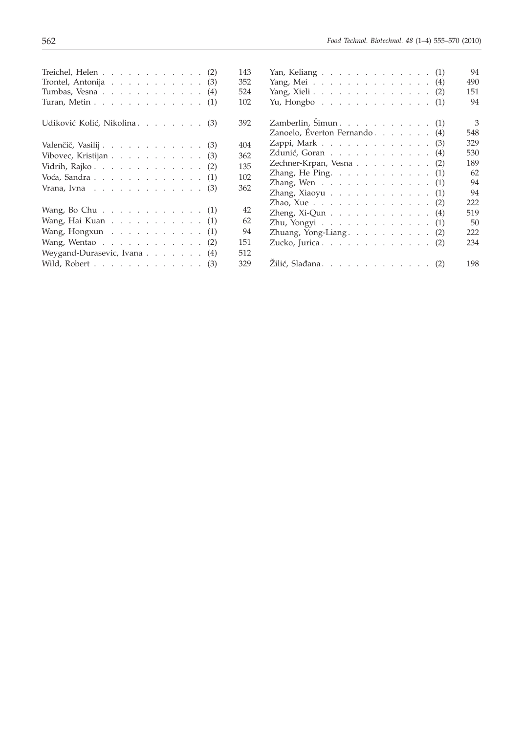| Treichel, Helen $\cdots$ $\cdots$ $\cdots$ $\cdots$ $\cdots$ $(2)$                            |  |  |  |  | 143 |
|-----------------------------------------------------------------------------------------------|--|--|--|--|-----|
| Trontel, Antonija $\ldots$ $\ldots$ $\ldots$ $\ldots$ (3)                                     |  |  |  |  | 352 |
| Tumbas, Vesna $\ldots$ $\ldots$ $\ldots$ $\ldots$ $\ldots$ $(4)$                              |  |  |  |  | 524 |
| Turan, Metin $\ldots$ $\ldots$ $\ldots$ $\ldots$ $\ldots$ $(1)$                               |  |  |  |  | 102 |
| Udiković Kolić, Nikolina (3)                                                                  |  |  |  |  | 392 |
| Valenčič, Vasilij (3)                                                                         |  |  |  |  | 404 |
| Vibovec, Kristijan $\ldots$ $\ldots$ $\ldots$ $\ldots$ $\ldots$ (3)                           |  |  |  |  | 362 |
| Vidrih, Rajko $\ldots$ $\ldots$ $\ldots$ $\ldots$ $\ldots$ (2)                                |  |  |  |  | 135 |
| Voća, Sandra $\ldots$ $\ldots$ $\ldots$ $\ldots$ $\ldots$ $(1)$                               |  |  |  |  | 102 |
| Vrana, Ivna $\ldots$ $\ldots$ $\ldots$ $\ldots$ $\ldots$ $\ldots$ (3)                         |  |  |  |  | 362 |
| Wang, Bo Chu $\cdots$ $\cdots$ $\cdots$ $\cdots$ $\cdots$ $\cdots$ $\cdots$ $\cdots$ $\cdots$ |  |  |  |  | 42  |
| Wang, Hai Kuan $\ldots$ $\ldots$ $\ldots$ $\ldots$ $(1)$                                      |  |  |  |  | 62  |
| Wang, Hongxun $\ldots$ $\ldots$ $\ldots$ $\ldots$ $(1)$                                       |  |  |  |  | 94  |
| Wang, Wentao $\ldots$ $\ldots$ $\ldots$ $\ldots$ $(2)$                                        |  |  |  |  | 151 |
| Weygand-Durasevic, Ivana (4)                                                                  |  |  |  |  | 512 |
| Wild, Robert $\ldots$ $\ldots$ $\ldots$ $\ldots$ $\ldots$ (3)                                 |  |  |  |  | 329 |
|                                                                                               |  |  |  |  |     |

| Yan, Keliang $\ldots \ldots \ldots \ldots \ldots \ldots$ (1)             | 94  |
|--------------------------------------------------------------------------|-----|
| Yang, Mei $\ldots \ldots \ldots \ldots$<br>(4)                           | 490 |
| Yang, Xieli $\ldots$ $\ldots$ $\ldots$ $\ldots$ $\ldots$ $\ldots$<br>(2) | 151 |
| Yu, Hongbo $\ldots$ $\ldots$ $\ldots$ $\ldots$ $\ldots$<br>(1)           | 94  |
| Zamberlin, Šimun. (1)                                                    | 3   |
| Zanoelo, Éverton Fernando<br>(4)                                         | 548 |
| Zappi, Mark<br>(3)                                                       | 329 |
| Zdunić, Goran<br>(4)                                                     | 530 |
| Zechner-Krpan, Vesna<br>(2)                                              | 189 |
| Zhang, He Ping. (1)                                                      | 62  |
| Zhang, Wen $\ldots$ $\ldots$ $\ldots$ $\ldots$<br>(1)                    | 94  |
| Zhang, Xiaoyu $\ldots$<br>(1)                                            | 94  |
| Zhao, Xue $\ldots$ $\ldots$ $\ldots$ $\ldots$ $\ldots$ $\ldots$<br>(2)   | 222 |
| Zheng, Xi-Qun $\ldots$ $\ldots$ $\ldots$ $\ldots$ $\ldots$<br>(4)        | 519 |
| Zhu, Yongyi $\ldots$ $\ldots$ $\ldots$ $\ldots$ $\ldots$<br>(1)          | 50  |
| Zhuang, Yong-Liang.<br>(2)                                               | 222 |
| Zucko, Jurica<br>(2)                                                     | 234 |
|                                                                          | 198 |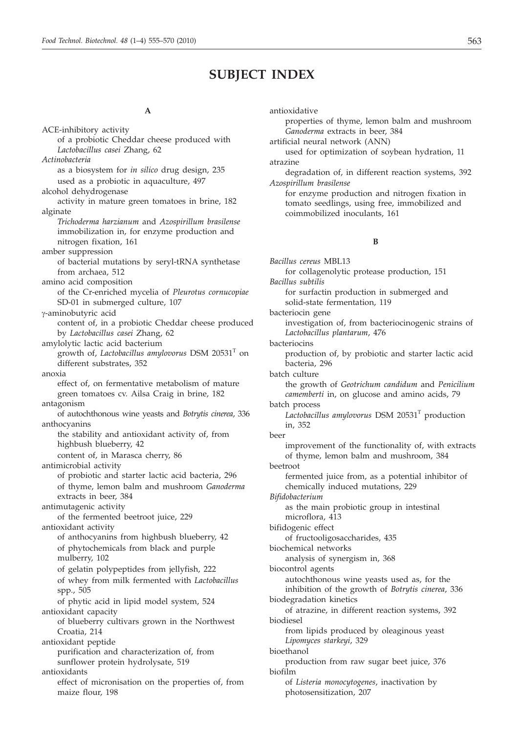# **SUBJECT INDEX**

#### **A**

ACE-inhibitory activity of a probiotic Cheddar cheese produced with *Lactobacillus casei* Zhang, 62 *Actinobacteria* as a biosystem for *in silico* drug design, 235 used as a probiotic in aquaculture, 497 alcohol dehydrogenase activity in mature green tomatoes in brine, 182 alginate *Trichoderma harzianum* and *Azospirillum brasilense* immobilization in, for enzyme production and nitrogen fixation, 161 amber suppression of bacterial mutations by seryl-tRNA synthetase from archaea, 512 amino acid composition of the Cr-enriched mycelia of *Pleurotus cornucopiae* SD-01 in submerged culture, 107 g-aminobutyric acid content of, in a probiotic Cheddar cheese produced by *Lactobacillus casei* Zhang, 62 amylolytic lactic acid bacterium growth of, *Lactobacillus amylovorus* DSM 20531<sup>T</sup> on different substrates, 352 anoxia effect of, on fermentative metabolism of mature green tomatoes cv. Ailsa Craig in brine, 182 antagonism of autochthonous wine yeasts and *Botrytis cinerea*, 336 anthocyanins the stability and antioxidant activity of, from highbush blueberry, 42 content of, in Marasca cherry, 86 antimicrobial activity of probiotic and starter lactic acid bacteria, 296 of thyme, lemon balm and mushroom *Ganoderma* extracts in beer, 384 antimutagenic activity of the fermented beetroot juice, 229 antioxidant activity of anthocyanins from highbush blueberry, 42 of phytochemicals from black and purple mulberry, 102 of gelatin polypeptides from jellyfish, 222 of whey from milk fermented with *Lactobacillus* spp., 505 of phytic acid in lipid model system, 524 antioxidant capacity of blueberry cultivars grown in the Northwest Croatia, 214 antioxidant peptide purification and characterization of, from sunflower protein hydrolysate, 519 antioxidants effect of micronisation on the properties of, from maize flour, 198

#### antioxidative

properties of thyme, lemon balm and mushroom *Ganoderma* extracts in beer, 384

artificial neural network (ANN)

used for optimization of soybean hydration, 11 atrazine

degradation of, in different reaction systems, 392 *Azospirillum brasilense*

for enzyme production and nitrogen fixation in tomato seedlings, using free, immobilized and coimmobilized inoculants, 161

## **B**

*Bacillus cereus* MBL13 for collagenolytic protease production, 151 *Bacillus subtilis* for surfactin production in submerged and solid-state fermentation, 119 bacteriocin gene investigation of, from bacteriocinogenic strains of *Lactobacillus plantarum*, 476 bacteriocins production of, by probiotic and starter lactic acid bacteria, 296 batch culture the growth of *Geotrichum candidum* and *Penicilium camemberti* in, on glucose and amino acids, 79 batch process Lactobacillus amylovorus DSM 20531<sup>T</sup> production in, 352 beer improvement of the functionality of, with extracts of thyme, lemon balm and mushroom, 384 beetroot fermented juice from, as a potential inhibitor of chemically induced mutations, 229 *Bifidobacterium* as the main probiotic group in intestinal microflora, 413 bifidogenic effect of fructooligosaccharides, 435 biochemical networks analysis of synergism in, 368 biocontrol agents autochthonous wine yeasts used as, for the inhibition of the growth of *Botrytis cinerea*, 336 biodegradation kinetics of atrazine, in different reaction systems, 392 biodiesel from lipids produced by oleaginous yeast *Lipomyces starkeyi*, 329 bioethanol production from raw sugar beet juice, 376 biofilm of *Listeria monocytogenes*, inactivation by photosensitization, 207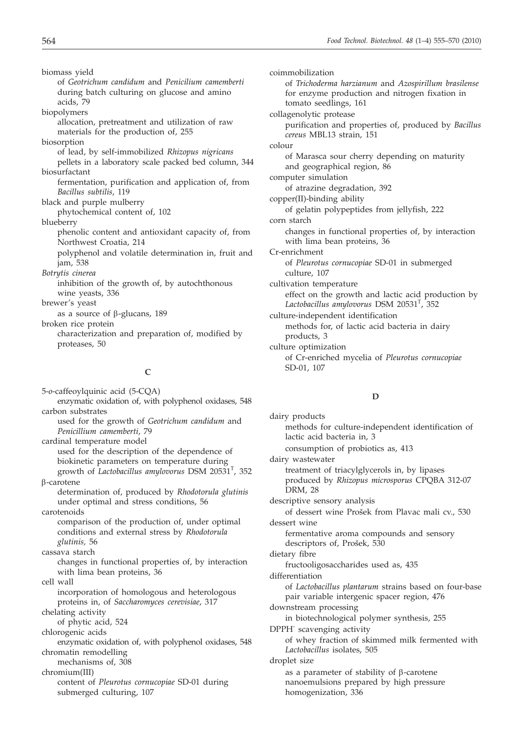biomass yield of *Geotrichum candidum* and *Penicilium camemberti* during batch culturing on glucose and amino acids, 79 biopolymers

allocation, pretreatment and utilization of raw materials for the production of, 255

biosorption

of lead, by self-immobilized *Rhizopus nigricans* pellets in a laboratory scale packed bed column, 344 biosurfactant

fermentation, purification and application of, from *Bacillus subtilis*, 119

black and purple mulberry phytochemical content of, 102

blueberry

phenolic content and antioxidant capacity of, from Northwest Croatia, 214

polyphenol and volatile determination in, fruit and jam, 538

*Botrytis cinerea*

inhibition of the growth of, by autochthonous wine yeasts, 336

brewer's yeast

as a source of  $\beta$ -glucans, 189

broken rice protein

characterization and preparation of, modified by proteases, 50

# **C**

5-*o*-caffeoylquinic acid (5-CQA) enzymatic oxidation of, with polyphenol oxidases, 548 carbon substrates used for the growth of *Geotrichum candidum* and *Penicillium camemberti*, 79 cardinal temperature model used for the description of the dependence of biokinetic parameters on temperature during growth of *Lactobacillus amylovorus* DSM 20531<sup>T</sup>, 352 b-carotene determination of, produced by *Rhodotorula glutinis* under optimal and stress conditions, 56 carotenoids comparison of the production of, under optimal conditions and external stress by *Rhodotorula glutinis,* 56 cassava starch changes in functional properties of, by interaction with lima bean proteins, 36 cell wall incorporation of homologous and heterologous proteins in, of *Saccharomyces cerevisiae*, 317 chelating activity of phytic acid, 524 chlorogenic acids enzymatic oxidation of, with polyphenol oxidases, 548 chromatin remodelling mechanisms of, 308 chromium(III) content of *Pleurotus cornucopiae* SD-01 during submerged culturing, 107

coimmobilization of *Trichoderma harzianum* and *Azospirillum brasilense* for enzyme production and nitrogen fixation in tomato seedlings, 161 collagenolytic protease purification and properties of, produced by *Bacillus cereus* MBL13 strain, 151 colour of Marasca sour cherry depending on maturity and geographical region, 86 computer simulation of atrazine degradation, 392 copper(II)-binding ability of gelatin polypeptides from jellyfish, 222 corn starch changes in functional properties of, by interaction with lima bean proteins, 36 Cr-enrichment of *Pleurotus cornucopiae* SD-01 in submerged culture, 107 cultivation temperature effect on the growth and lactic acid production by *Lactobacillus amylovorus* DSM 20531T , 352 culture-independent identification methods for, of lactic acid bacteria in dairy products, 3 culture optimization of Cr-enriched mycelia of *Pleurotus cornucopiae* SD-01, 107

# **D**

dairy products methods for culture-independent identification of lactic acid bacteria in, 3 consumption of probiotics as, 413 dairy wastewater treatment of triacylglycerols in, by lipases produced by *Rhizopus microsporus* CPQBA 312-07 DRM, 28 descriptive sensory analysis of dessert wine Prošek from Plavac mali cv., 530 dessert wine fermentative aroma compounds and sensory descriptors of, Prošek, 530 dietary fibre fructooligosaccharides used as, 435 differentiation of *Lactobacillus plantarum* strains based on four-base pair variable intergenic spacer region, 476 downstream processing in biotechnological polymer synthesis, 255 DPPH· scavenging activity of whey fraction of skimmed milk fermented with *Lactobacillus* isolates, 505 droplet size as a parameter of stability of  $\beta$ -carotene nanoemulsions prepared by high pressure homogenization, 336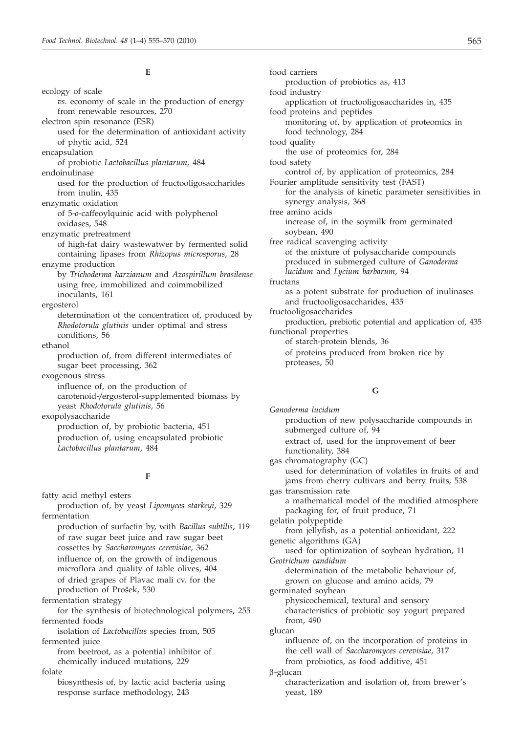**E**

ecology of scale *vs*. economy of scale in the production of energy from renewable resources, 270 electron spin resonance (ESR) used for the determination of antioxidant activity of phytic acid, 524 encapsulation of probiotic *Lactobacillus plantarum*, 484 endoinulinase used for the production of fructooligosaccharides from inulin, 435 enzymatic oxidation of 5-*o*-caffeoylquinic acid with polyphenol oxidases, 548 enzymatic pretreatment of high-fat dairy wastewatwer by fermented solid containing lipases from *Rhizopus microsporus*, 28 enzyme production by *Trichoderma harzianum* and *Azospirillum brasilense* using free, immobilized and coimmobilized inoculants, 161 ergosterol determination of the concentration of, produced by *Rhodotorula glutinis* under optimal and stress conditions, 56 ethanol production of, from different intermediates of sugar beet processing, 362 exogenous stress influence of, on the production of carotenoid-*/*ergosterol-supplemented biomass by yeast *Rhodotorula glutinis*, 56 exopolysaccharide production of, by probiotic bacteria, 451 production of, using encapsulated probiotic *Lactobacillus plantarum*, 484

## **F**

fatty acid methyl esters production of, by yeast *Lipomyces starkeyi*, 329 fermentation production of surfactin by, with *Bacillus subtilis*, 119 of raw sugar beet juice and raw sugar beet

cossettes by *Saccharomyces cerevisiae*, 362 influence of, on the growth of indigenous microflora and quality of table olives, 404 of dried grapes of Plavac mali cv. for the production of Prošek, 530

fermentation strategy

for the synthesis of biotechnological polymers, 255 fermented foods

isolation of *Lactobacillus* species from, 505 fermented juice

from beetroot, as a potential inhibitor of chemically induced mutations, 229 folate

biosynthesis of, by lactic acid bacteria using response surface methodology, 243

food carriers production of probiotics as, 413 food industry application of fructooligosaccharides in, 435 food proteins and peptides monitoring of, by application of proteomics in food technology, 284 food quality the use of proteomics for, 284 food safety control of, by application of proteomics, 284 Fourier amplitude sensitivity test (FAST) for the analysis of kinetic parameter sensitivities in synergy analysis, 368 free amino acids increase of, in the soymilk from germinated soybean, 490 free radical scavenging activity of the mixture of polysaccharide compounds produced in submerged culture of *Ganoderma lucidum* and *Lycium barbarum*, 94 fructans as a potent substrate for production of inulinases and fructooligosaccharides, 435 fructooligosaccharides production, prebiotic potential and application of, 435 functional properties of starch-protein blends, 36 of proteins produced from broken rice by proteases, 50

# **G**

*Ganoderma lucidum* production of new polysaccharide compounds in submerged culture of, 94 extract of, used for the improvement of beer functionality, 384 gas chromatography (GC) used for determination of volatiles in fruits of and jams from cherry cultivars and berry fruits, 538 gas transmission rate a mathematical model of the modified atmosphere packaging for, of fruit produce, 71 gelatin polypeptide from jellyfish, as a potential antioxidant, 222 genetic algorithms (GA) used for optimization of soybean hydration, 11 *Geotrichum candidum* determination of the metabolic behaviour of, grown on glucose and amino acids, 79 germinated soybean physicochemical, textural and sensory characteristics of probiotic soy yogurt prepared from, 490 glucan influence of, on the incorporation of proteins in the cell wall of *Saccharomyces cerevisiae*, 317 from probiotics, as food additive, 451 b-glucan characterization and isolation of, from brewer's yeast, 189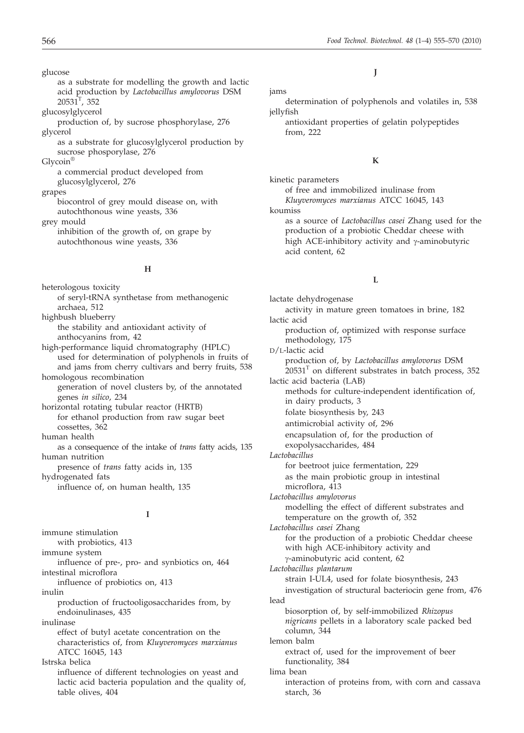glucose

as a substrate for modelling the growth and lactic acid production by *Lactobacillus amylovorus* DSM  $20531^T$ , 352

glucosylglycerol

- production of, by sucrose phosphorylase, 276 glycerol
	- as a substrate for glucosylglycerol production by sucrose phosporylase, 276

Glycoin®

a commercial product developed from glucosylglycerol, 276

grapes

biocontrol of grey mould disease on, with autochthonous wine yeasts, 336

grey mould

inhibition of the growth of, on grape by autochthonous wine yeasts, 336

#### **H**

heterologous toxicity of seryl-tRNA synthetase from methanogenic archaea, 512 highbush blueberry the stability and antioxidant activity of anthocyanins from, 42 high-performance liquid chromatography (HPLC) used for determination of polyphenols in fruits of and jams from cherry cultivars and berry fruits, 538 homologous recombination generation of novel clusters by, of the annotated genes *in silico*, 234 horizontal rotating tubular reactor (HRTB) for ethanol production from raw sugar beet cossettes, 362 human health as a consequence of the intake of *trans* fatty acids, 135 human nutrition presence of *trans* fatty acids in, 135 hydrogenated fats influence of, on human health, 135 **I** immune stimulation with probiotics, 413 immune system influence of pre-, pro- and synbiotics on, 464 intestinal microflora influence of probiotics on, 413 inulin production of fructooligosaccharides from, by endoinulinases, 435 inulinase effect of butyl acetate concentration on the characteristics of, from *Kluyveromyces marxianus* ATCC 16045, 143 Istrska belica

influence of different technologies on yeast and lactic acid bacteria population and the quality of, table olives, 404

# **J**

#### jams

determination of polyphenols and volatiles in, 538 jellyfish

antioxidant properties of gelatin polypeptides from, 222

#### **K**

kinetic parameters

of free and immobilized inulinase from *Kluyveromyces marxianus* ATCC 16045, 143

koumiss

as a source of *Lactobacillus casei* Zhang used for the production of a probiotic Cheddar cheese with high ACE-inhibitory activity and  $\gamma$ -aminobutyric acid content, 62

# **L**

lactate dehydrogenase activity in mature green tomatoes in brine, 182 lactic acid production of, optimized with response surface methodology, 175 D/L-lactic acid production of, by *Lactobacillus amylovorus* DSM  $20531<sup>T</sup>$  on different substrates in batch process, 352 lactic acid bacteria (LAB) methods for culture-independent identification of, in dairy products, 3 folate biosynthesis by, 243 antimicrobial activity of, 296 encapsulation of, for the production of exopolysaccharides, 484 *Lactobacillus* for beetroot juice fermentation, 229 as the main probiotic group in intestinal microflora, 413 *Lactobacillus amylovorus* modelling the effect of different substrates and temperature on the growth of, 352 *Lactobacillus casei* Zhang for the production of a probiotic Cheddar cheese with high ACE-inhibitory activity and g-aminobutyric acid content, 62 *Lactobacillus plantarum* strain I-UL4, used for folate biosynthesis, 243 investigation of structural bacteriocin gene from, 476 lead biosorption of, by self-immobilized *Rhizopus nigricans* pellets in a laboratory scale packed bed column, 344 lemon balm extract of, used for the improvement of beer functionality, 384 lima bean interaction of proteins from, with corn and cassava starch, 36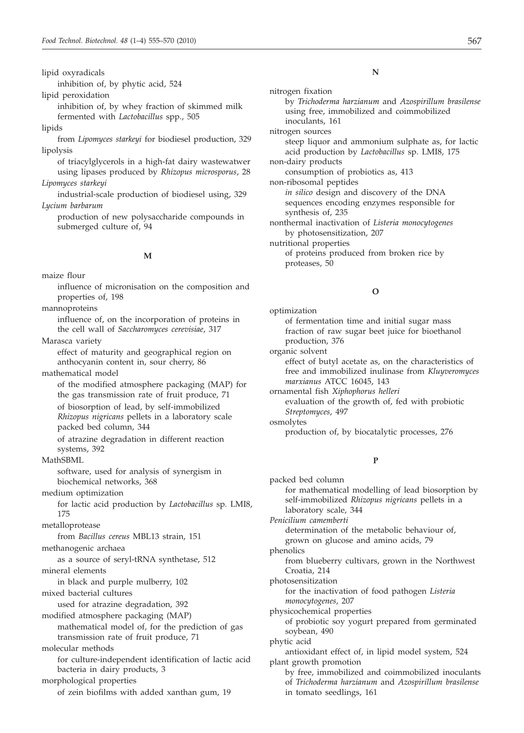lipid oxyradicals

inhibition of, by phytic acid, 524

lipid peroxidation

inhibition of, by whey fraction of skimmed milk fermented with *Lactobacillus* spp., 505

lipids

from *Lipomyces starkeyi* for biodiesel production, 329 lipolysis

of triacylglycerols in a high-fat dairy wastewatwer using lipases produced by *Rhizopus microsporus*, 28 *Lipomyces starkeyi*

industrial-scale production of biodiesel using, 329 *Lycium barbarum*

production of new polysaccharide compounds in submerged culture of, 94

#### **M**

maize flour

influence of micronisation on the composition and properties of, 198

mannoproteins

influence of, on the incorporation of proteins in the cell wall of *Saccharomyces cerevisiae*, 317

Marasca variety

effect of maturity and geographical region on anthocyanin content in, sour cherry, 86

mathematical model

of the modified atmosphere packaging (MAP) for the gas transmission rate of fruit produce, 71

of biosorption of lead, by self-immobilized *Rhizopus nigricans* pellets in a laboratory scale packed bed column, 344

of atrazine degradation in different reaction systems, 392

MathSBML

software, used for analysis of synergism in biochemical networks, 368

medium optimization

for lactic acid production by *Lactobacillus* sp. LMI8, 175

metalloprotease

from *Bacillus cereus* MBL13 strain, 151

methanogenic archaea

as a source of seryl-tRNA synthetase, 512 mineral elements

in black and purple mulberry, 102

mixed bacterial cultures

used for atrazine degradation, 392

modified atmosphere packaging (MAP) mathematical model of, for the prediction of gas transmission rate of fruit produce, 71

molecular methods

for culture-independent identification of lactic acid bacteria in dairy products, 3

morphological properties

of zein biofilms with added xanthan gum, 19

nitrogen fixation by *Trichoderma harzianum* and *Azospirillum brasilense* using free, immobilized and coimmobilized inoculants, 161 nitrogen sources steep liquor and ammonium sulphate as, for lactic acid production by *Lactobacillus* sp. LMI8, 175 non-dairy products consumption of probiotics as, 413 non-ribosomal peptides *in silico* design and discovery of the DNA sequences encoding enzymes responsible for synthesis of, 235 nonthermal inactivation of *Listeria monocytogenes* by photosensitization, 207 nutritional properties of proteins produced from broken rice by proteases, 50

#### **O**

optimization of fermentation time and initial sugar mass fraction of raw sugar beet juice for bioethanol production, 376 organic solvent effect of butyl acetate as, on the characteristics of free and immobilized inulinase from *Kluyveromyces marxianus* ATCC 16045, 143 ornamental fish *Xiphophorus helleri* evaluation of the growth of, fed with probiotic *Streptomyces*, 497 osmolytes production of, by biocatalytic processes, 276

#### **P**

packed bed column for mathematical modelling of lead biosorption by self-immobilized *Rhizopus nigricans* pellets in a laboratory scale, 344 *Penicilium camemberti* determination of the metabolic behaviour of, grown on glucose and amino acids, 79 phenolics from blueberry cultivars, grown in the Northwest Croatia, 214 photosensitization for the inactivation of food pathogen *Listeria monocytogenes*, 207 physicochemical properties of probiotic soy yogurt prepared from germinated soybean, 490 phytic acid antioxidant effect of, in lipid model system, 524 plant growth promotion by free, immobilized and coimmobilized inoculants of *Trichoderma harzianum* and *Azospirillum brasilense* in tomato seedlings, 161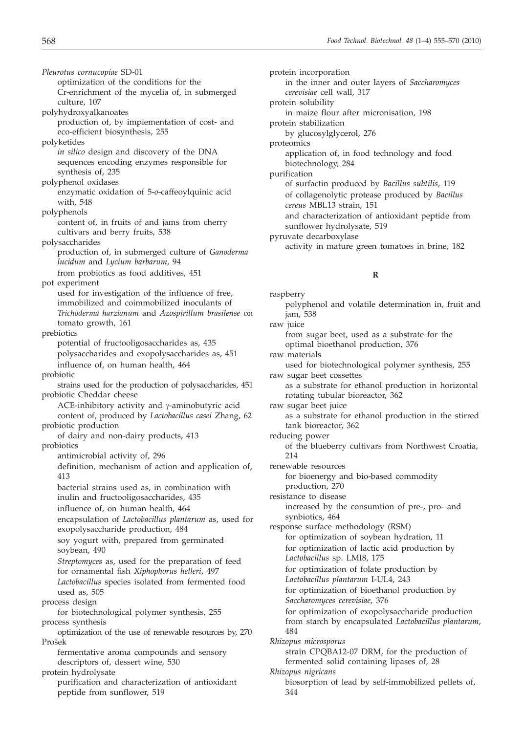*Pleurotus cornucopiae* SD-01 optimization of the conditions for the Cr-enrichment of the mycelia of, in submerged culture, 107

- polyhydroxyalkanoates production of, by implementation of cost- and eco-efficient biosynthesis, 255
- polyketides
	- *in silico* design and discovery of the DNA sequences encoding enzymes responsible for synthesis of, 235
- polyphenol oxidases enzymatic oxidation of 5-*o*-caffeoylquinic acid with, 548
- polyphenols
	- content of, in fruits of and jams from cherry cultivars and berry fruits, 538
- polysaccharides
	- production of, in submerged culture of *Ganoderma lucidum* and *Lycium barbarum*, 94 from probiotics as food additives, 451
- pot experiment
	- used for investigation of the influence of free, immobilized and coimmobilized inoculants of *Trichoderma harzianum* and *Azospirillum brasilense* on tomato growth, 161

prebiotics

- potential of fructooligosaccharides as, 435 polysaccharides and exopolysaccharides as, 451 influence of, on human health, 464
- probiotic
- strains used for the production of polysaccharides, 451 probiotic Cheddar cheese
- ACE-inhibitory activity and  $\gamma$ -aminobutyric acid content of, produced by *Lactobacillus casei* Zhang, 62 probiotic production
	- of dairy and non-dairy products, 413
- probiotics
	- antimicrobial activity of, 296
		- definition, mechanism of action and application of, 413
	- bacterial strains used as, in combination with inulin and fructooligosaccharides, 435
	- influence of, on human health, 464
	- encapsulation of *Lactobacillus plantarum* as, used for exopolysaccharide production, 484
	- soy yogurt with, prepared from germinated soybean, 490
	- *Streptomyces* as, used for the preparation of feed for ornamental fish *Xiphophorus helleri*, 497 *Lactobacillus* species isolated from fermented food
- used as, 505 process design
- for biotechnological polymer synthesis, 255 process synthesis
- optimization of the use of renewable resources by, 270 Prošek
	- fermentative aroma compounds and sensory descriptors of, dessert wine, 530
- protein hydrolysate purification and characterization of antioxidant peptide from sunflower, 519

protein incorporation in the inner and outer layers of *Saccharomyces cerevisiae* cell wall, 317 protein solubility in maize flour after micronisation, 198 protein stabilization by glucosylglycerol, 276 proteomics application of, in food technology and food biotechnology, 284 purification of surfactin produced by *Bacillus subtilis*, 119 of collagenolytic protease produced by *Bacillus cereus* MBL13 strain, 151 and characterization of antioxidant peptide from sunflower hydrolysate, 519 pyruvate decarboxylase

activity in mature green tomatoes in brine, 182

## **R**

raspberry polyphenol and volatile determination in, fruit and jam, 538 raw juice from sugar beet, used as a substrate for the optimal bioethanol production, 376 raw materials used for biotechnological polymer synthesis, 255 raw sugar beet cossettes as a substrate for ethanol production in horizontal rotating tubular bioreactor, 362 raw sugar beet juice as a substrate for ethanol production in the stirred tank bioreactor, 362 reducing power of the blueberry cultivars from Northwest Croatia, 214 renewable resources for bioenergy and bio-based commodity production, 270 resistance to disease increased by the consumtion of pre-, pro- and synbiotics, 464 response surface methodology (RSM) for optimization of soybean hydration, 11 for optimization of lactic acid production by *Lactobacillus* sp. LMI8, 175 for optimization of folate production by *Lactobacillus plantarum* I-UL4, 243 for optimization of bioethanol production by *Saccharomyces cerevisiae*, 376 for optimization of exopolysaccharide production from starch by encapsulated *Lactobacillus plantarum*, 484 *Rhizopus microsporus* strain CPQBA12-07 DRM, for the production of fermented solid containing lipases of, 28 *Rhizopus nigricans* biosorption of lead by self-immobilized pellets of, 344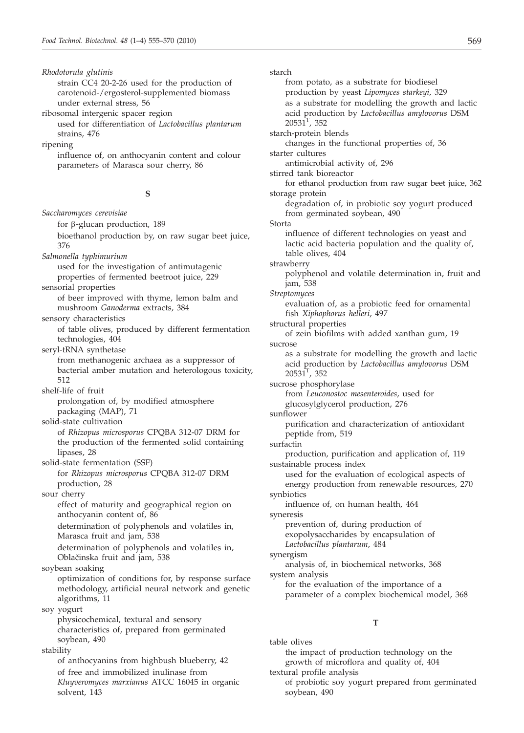*Rhodotorula glutinis* strain CC4 20-2-26 used for the production of carotenoid-/ergosterol-supplemented biomass under external stress, 56 ribosomal intergenic spacer region used for differentiation of *Lactobacillus plantarum* strains, 476 ripening influence of, on anthocyanin content and colour parameters of Marasca sour cherry, 86 **S** *Saccharomyces cerevisiae* for  $\beta$ -glucan production, 189 bioethanol production by, on raw sugar beet juice, 376 *Salmonella typhimurium* used for the investigation of antimutagenic properties of fermented beetroot juice, 229 sensorial properties of beer improved with thyme, lemon balm and mushroom *Ganoderma* extracts, 384 sensory characteristics of table olives, produced by different fermentation technologies, 404 seryl-tRNA synthetase from methanogenic archaea as a suppressor of bacterial amber mutation and heterologous toxicity, 512 shelf-life of fruit prolongation of, by modified atmosphere packaging (MAP), 71 solid-state cultivation of *Rhizopus microsporus* CPQBA 312-07 DRM for the production of the fermented solid containing lipases, 28 solid-state fermentation (SSF) for *Rhizopus microsporus* CPQBA 312-07 DRM production, 28 sour cherry effect of maturity and geographical region on anthocyanin content of, 86 determination of polyphenols and volatiles in, Marasca fruit and jam, 538 determination of polyphenols and volatiles in, Oblačinska fruit and jam, 538 soybean soaking optimization of conditions for, by response surface methodology, artificial neural network and genetic algorithms, 11 soy yogurt physicochemical, textural and sensory characteristics of, prepared from germinated soybean, 490 stability of anthocyanins from highbush blueberry, 42 of free and immobilized inulinase from *Kluyveromyces marxianus* ATCC 16045 in organic solvent, 143 starch from potato, as a substrate for biodiesel production by yeast *Lipomyces starkeyi*, 329 as a substrate for modelling the growth and lactic acid production by *Lactobacillus amylovorus* DSM  $20531^T$ , 352 starch-protein blends changes in the functional properties of, 36 starter cultures antimicrobial activity of, 296 stirred tank bioreactor for ethanol production from raw sugar beet juice, 362 storage protein degradation of, in probiotic soy yogurt produced from germinated soybean, 490 Storta influence of different technologies on yeast and lactic acid bacteria population and the quality of, table olives, 404 strawberry polyphenol and volatile determination in, fruit and jam, 538 *Streptomyces* evaluation of, as a probiotic feed for ornamental fish *Xiphophorus helleri*, 497 structural properties of zein biofilms with added xanthan gum, 19 sucrose as a substrate for modelling the growth and lactic acid production by *Lactobacillus amylovorus* DSM  $20531^{\mathrm{T}}$ , 352 sucrose phosphorylase from *Leuconostoc mesenteroides*, used for glucosylglycerol production, 276 sunflower purification and characterization of antioxidant peptide from, 519 surfactin production, purification and application of, 119 sustainable process index used for the evaluation of ecological aspects of energy production from renewable resources, 270 synbiotics influence of, on human health, 464 syneresis prevention of, during production of exopolysaccharides by encapsulation of *Lactobacillus plantarum*, 484 synergism analysis of, in biochemical networks, 368 system analysis for the evaluation of the importance of a parameter of a complex biochemical model, 368 **T** table olives the impact of production technology on the growth of microflora and quality of, 404 textural profile analysis of probiotic soy yogurt prepared from germinated

soybean, 490